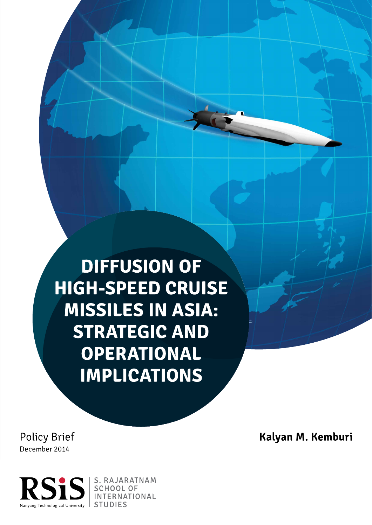**DIFFUSION OF HIGH-SPEED CRUISE MISSILES IN ASIA: STRATEGIC AND OPERATIONAL IMPLICATIONS** 

**Policy Brief** December 2014



**STUDIES** 

Kalyan M. Kemburi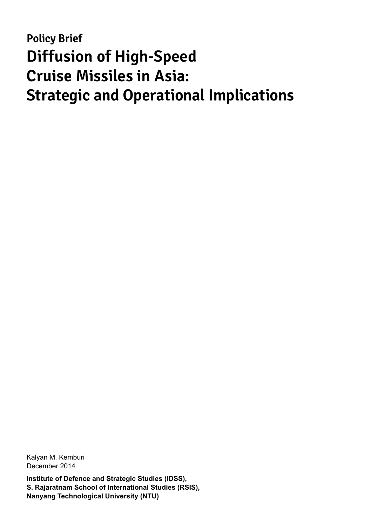# **Policy Brief Diffusion of High-Speed Cruise Missiles in Asia: Strategic and Operational Implications**

Kalyan M. Kemburi December 2014

**Institute of Defence and Strategic Studies (IDSS), S. Rajaratnam School of International Studies (RSIS), Nanyang Technological University (NTU)**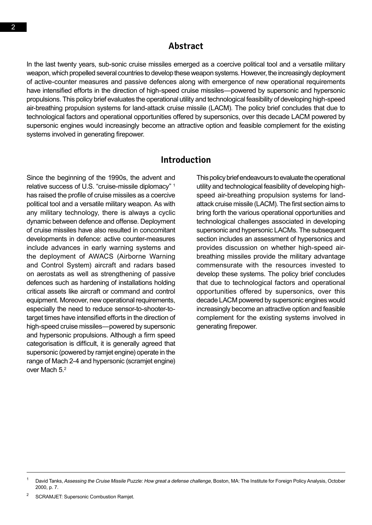#### **Abstract**

In the last twenty years, sub-sonic cruise missiles emerged as a coercive political tool and a versatile military weapon, which propelled several countries to develop these weapon systems. However, the increasingly deployment of active-counter measures and passive defences along with emergence of new operational requirements have intensified efforts in the direction of high-speed cruise missiles—powered by supersonic and hypersonic propulsions. This policy brief evaluates the operational utility and technological feasibility of developing high-speed air-breathing propulsion systems for land-attack cruise missile (LACM). The policy brief concludes that due to technological factors and operational opportunities offered by supersonics, over this decade LACM powered by supersonic engines would increasingly become an attractive option and feasible complement for the existing systems involved in generating firepower.

#### **Introduction**

Since the beginning of the 1990s, the advent and relative success of U.S. "cruise-missile diplomacy" 1 has raised the profile of cruise missiles as a coercive political tool and a versatile military weapon. As with any military technology, there is always a cyclic dynamic between defence and offense. Deployment of cruise missiles have also resulted in concomitant developments in defence: active counter-measures include advances in early warning systems and the deployment of AWACS (Airborne Warning and Control System) aircraft and radars based on aerostats as well as strengthening of passive defences such as hardening of installations holding critical assets like aircraft or command and control equipment. Moreover, new operational requirements, especially the need to reduce sensor-to-shooter-totarget times have intensified efforts in the direction of high-speed cruise missiles—powered by supersonic and hypersonic propulsions. Although a firm speed categorisation is difficult, it is generally agreed that supersonic (powered by ramjet engine) operate in the range of Mach 2-4 and hypersonic (scramjet engine) over Mach 5.2

This policy brief endeavours to evaluate the operational utility and technological feasibility of developing highspeed air-breathing propulsion systems for landattack cruise missile (LACM). The first section aims to bring forth the various operational opportunities and technological challenges associated in developing supersonic and hypersonic LACMs. The subsequent section includes an assessment of hypersonics and provides discussion on whether high-speed airbreathing missiles provide the military advantage commensurate with the resources invested to develop these systems. The policy brief concludes that due to technological factors and operational opportunities offered by supersonics, over this decade LACM powered by supersonic engines would increasingly become an attractive option and feasible complement for the existing systems involved in generating firepower.

David Tanks, Assessing the Cruise Missile Puzzle: How great a defense challenge, Boston, MA: The Institute for Foreign Policy Analysis, October 2000, p. 7.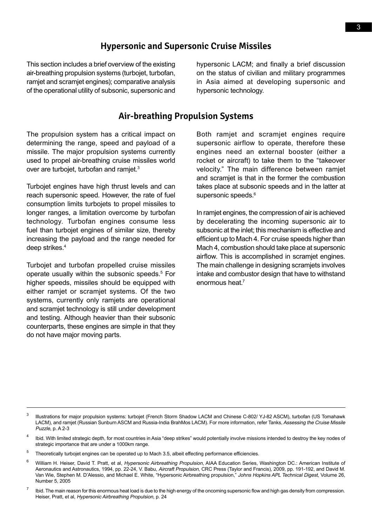#### **Hypersonic and Supersonic Cruise Missiles**

This section includes a brief overview of the existing air-breathing propulsion systems (turbojet, turbofan, ramjet and scramjet engines); comparative analysis of the operational utility of subsonic, supersonic and hypersonic LACM; and finally a brief discussion on the status of civilian and military programmes in Asia aimed at developing supersonic and hypersonic technology.

#### **Air-breathing Propulsion Systems**

The propulsion system has a critical impact on determining the range, speed and payload of a missile. The major propulsion systems currently used to propel air-breathing cruise missiles world over are turbojet, turbofan and ramjet.<sup>3</sup>

Turbojet engines have high thrust levels and can reach supersonic speed. However, the rate of fuel consumption limits turbojets to propel missiles to longer ranges, a limitation overcome by turbofan technology. Turbofan engines consume less fuel than turbojet engines of similar size, thereby increasing the payload and the range needed for deep strikes.<sup>4</sup>

Turbojet and turbofan propelled cruise missiles operate usually within the subsonic speeds.5 For higher speeds, missiles should be equipped with either ramjet or scramjet systems. Of the two systems, currently only ramjets are operational and scramjet technology is still under development and testing. Although heavier than their subsonic counterparts, these engines are simple in that they do not have major moving parts.

Both ramjet and scramjet engines require supersonic airflow to operate, therefore these engines need an external booster (either a rocket or aircraft) to take them to the "takeover velocity." The main difference between ramjet and scramjet is that in the former the combustion takes place at subsonic speeds and in the latter at supersonic speeds.<sup>6</sup>

In ramjet engines, the compression of air is achieved by decelerating the incoming supersonic air to subsonic at the inlet; this mechanism is effective and efficient up to Mach 4. For cruise speeds higher than Mach 4, combustion should take place at supersonic airflow. This is accomplished in scramjet engines. The main challenge in designing scramjets involves intake and combustor design that have to withstand enormous heat.<sup>7</sup>

<sup>&</sup>lt;sup>3</sup> Illustrations for major propulsion systems: turbojet (French Storm Shadow LACM and Chinese C-802/ YJ-82 ASCM), turbofan (US Tomahawk LACM), and ramjet (Russian Sunburn ASCM and Russia-India BrahMos LACM). For more information, refer Tanks, Assessing the Cruise Missile Puzzle, p. A 2-3

Ibid. With limited strategic depth, for most countries in Asia "deep strikes" would potentially involve missions intended to destroy the key nodes of strategic importance that are under a 1000km range.

<sup>&</sup>lt;sup>5</sup> Theoretically turbojet engines can be operated up to Mach 3.5, albeit effecting performance efficiencies.

<sup>&</sup>lt;sup>6</sup> William H. Heiser, David T. Pratt, et al, Hypersonic Airbreathing Propulsion, AIAA Education Series, Washington DC.: American Institute of Aeronautics and Astronautics, 1994, pp. 22-24, V. Babu, Aircraft Propulsion, CRC Press (Taylor and Francis), 2009, pp. 191-192, and David M. Van Wie, Stephen M. D'Alessio, and Michael E. White, "Hypersonic Airbreathing propulsion," Johns Hopkins APL Technical Digest, Volume 26, Number 5, 2005

 $<sup>7</sup>$  Ibid. The main reason for this enormous heat load is due to the high energy of the oncoming supersonic flow and high gas density from compression.</sup> Heiser, Pratt, et al, Hypersonic Airbreathing Propulsion, p. 24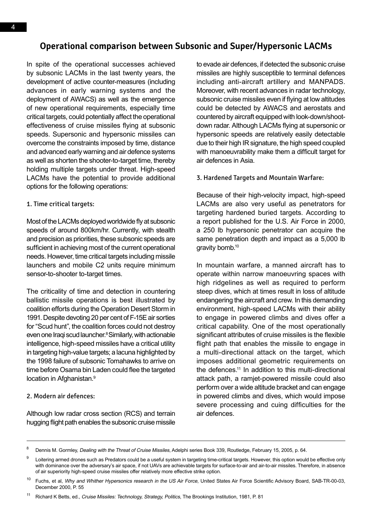#### **Operational comparison between Subsonic and Super/Hypersonic LACMs**

In spite of the operational successes achieved by subsonic LACMs in the last twenty years, the development of active counter-measures (including advances in early warning systems and the deployment of AWACS) as well as the emergence of new operational requirements, especially time critical targets, could potentially affect the operational effectiveness of cruise missiles flying at subsonic speeds. Supersonic and hypersonic missiles can overcome the constraints imposed by time, distance and advanced early warning and air defence systems as well as shorten the shooter-to-target time, thereby holding multiple targets under threat. High-speed LACMs have the potential to provide additional options for the following operations:

1. Time critical targets:

Most of the LACMs deployed worldwide fly at subsonic speeds of around 800km/hr. Currently, with stealth and precision as priorities, these subsonic speeds are sufficient in achieving most of the current operational needs. However, time critical targets including missile launchers and mobile C2 units require minimum sensor-to-shooter to-target times.

The criticality of time and detection in countering ballistic missile operations is best illustrated by coalition efforts during the Operation Desert Storm in 1991. Despite devoting 20 per cent of F-15E air sorties for "Scud hunt", the coalition forces could not destroy even one Iraqi scud launcher.<sup>8</sup> Similarly, with actionable intelligence, high-speed missiles have a critical utility in targeting high-value targets; a lacuna highlighted by the 1998 failure of subsonic Tomahawks to arrive on time before Osama bin Laden could flee the targeted location in Afghanistan.<sup>9</sup>

2. Modern air defences:

Although low radar cross section (RCS) and terrain hugging flight path enables the subsonic cruise missile to evade air defences, if detected the subsonic cruise missiles are highly susceptible to terminal defences including anti-aircraft artillery and MANPADS. Moreover, with recent advances in radar technology, subsonic cruise missiles even if flying at low altitudes could be detected by AWACS and aerostats and countered by aircraft equipped with look-down/shootdown radar. Although LACMs flying at supersonic or hypersonic speeds are relatively easily detectable due to their high IR signature, the high speed coupled with manoeuvrability make them a difficult target for air defences in Asia.

#### 3. Hardened Targets and Mountain Warfare:

Because of their high-velocity impact, high-speed LACMs are also very useful as penetrators for targeting hardened buried targets. According to a report published for the U.S. Air Force in 2000, a 250 lb hypersonic penetrator can acquire the same penetration depth and impact as a 5,000 lb gravity bomb.10

In mountain warfare, a manned aircraft has to operate within narrow manoeuvring spaces with high ridgelines as well as required to perform steep dives, which at times result in loss of altitude endangering the aircraft and crew. In this demanding environment, high-speed LACMs with their ability to engage in powered climbs and dives offer a critical capability. One of the most operationally significant attributes of cruise missiles is the flexible flight path that enables the missile to engage in a multi-directional attack on the target, which imposes additional geometric requirements on the defences.<sup>11</sup> In addition to this multi-directional attack path, a ramjet-powered missile could also perform over a wide altitude bracket and can engage in powered climbs and dives, which would impose severe processing and cuing difficulties for the air defences.

<sup>&</sup>lt;sup>8</sup> Dennis M. Gormley, Dealing with the Threat of Cruise Missiles, Adelphi series Book 339, Routledge, February 15, 2005, p. 64.

<sup>&</sup>lt;sup>9</sup> Loitering armed drones such as Predators could be a useful system in targeting time-critical targets. However, this option would be effective only with dominance over the adversary's air space, if not UAVs are achievable targets for surface-to-air and air-to-air missiles. Therefore, in absence of air superiority high-speed cruise missiles offer relatively more effective strike option.

Fuchs, et al, Why and Whither Hypersonics research in the US Air Force, United States Air Force Scientific Advisory Board, SAB-TR-00-03, December 2000, P. 55

Richard K Betts, ed., Cruise Missiles: Technology, Strategy, Politics, The Brookings Institution, 1981, P. 81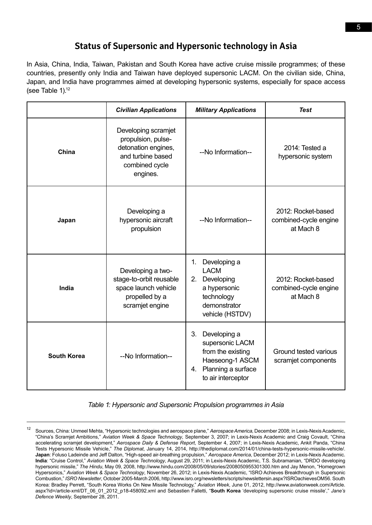### **Status of Supersonic and Hypersonic technology in Asia**

In Asia, China, India, Taiwan, Pakistan and South Korea have active cruise missile programmes; of these countries, presently only India and Taiwan have deployed supersonic LACM. On the civilian side, China, Japan, and India have programmes aimed at developing hypersonic systems, especially for space access (see Table  $1$ ).<sup>12</sup>

|                    | <b>Civilian Applications</b>                                                                                        | <b>Military Applications</b>                                                                                                 | <b>Test</b>                                              |
|--------------------|---------------------------------------------------------------------------------------------------------------------|------------------------------------------------------------------------------------------------------------------------------|----------------------------------------------------------|
| China              | Developing scramjet<br>propulsion, pulse-<br>detonation engines,<br>and turbine based<br>combined cycle<br>engines. | --No Information--                                                                                                           | 2014: Tested a<br>hypersonic system                      |
| Japan              | Developing a<br>hypersonic aircraft<br>propulsion                                                                   | --No Information--                                                                                                           | 2012: Rocket-based<br>combined-cycle engine<br>at Mach 8 |
| India              | Developing a two-<br>stage-to-orbit reusable<br>space launch vehicle<br>propelled by a<br>scramjet engine           | Developing a<br>1.<br><b>LACM</b><br>2. Developing<br>a hypersonic<br>technology<br>demonstrator<br>vehicle (HSTDV)          | 2012: Rocket-based<br>combined-cycle engine<br>at Mach 8 |
| <b>South Korea</b> | --No Information--                                                                                                  | Developing a<br>3.<br>supersonic LACM<br>from the existing<br>Haeseong-1 ASCM<br>4. Planning a surface<br>to air interceptor | Ground tested various<br>scramjet components             |

*Table 1: Hypersonic and Supersonic Propulsion programmes in Asia*

<sup>&</sup>lt;sup>12</sup> Sources, China: Unmeel Mehta, "Hypersonic technologies and aerospace plane," Aerospace America, December 2008; in Lexis-Nexis Academic, "China's Scramjet Ambitions," Aviation Week & Space Technology, September 3, 2007; in Lexis-Nexis Academic and Craig Covault, "China accelerating scramjet development," *Aerospace Daily & Defense Report*, September 4, 2007; in Lexis-Nexis Academic, Ankit Panda, "China Tests Hypersonic Missile Vehicle," *The Diplomat*, January 14, 2014, http://thediplomat.com/2014/01/china-tests-hypersonic-missile-vehicle/. **Japan**: Foluso Ladeinde and Jeff Dalton, "High-speed air-breathing propulsion," *Aerospace America*, December 2012; in Lexis-Nexis Academic. **India**: "Cruise Control," *Aviation Week & Space Technology*, August 29, 2011; in Lexis-Nexis Academic, T.S. Subramanian, "DRDO developing hypersonic missile," *The Hindu*, May 09, 2008, http://www.hindu.com/2008/05/09/stories/2008050955301300.htm and Jay Menon, "Homegrown Hypersonics," *Aviation Week & Space Technology*, November 26, 2012; in Lexis-Nexis Academic, "ISRO Achieves Breakthrough in Supersonic Combustion," *ISRO Newsletter*, October 2005-March 2006, http://www.isro.org/newsletters/scripts/newslettersin.aspx?ISROachievesOM56. South Korea: Bradley Perrett, "South Korea Works On New Missile Technology," *Aviation Week*, June 01, 2012, http://www.aviationweek.com/Article. aspx?id=/article-xml/DT\_06\_01\_2012\_p18-458092.xml and Sebastien Falletti, "**South Korea** 'developing supersonic cruise missile'," *Jane's Defence Weekly*, September 28, 2011.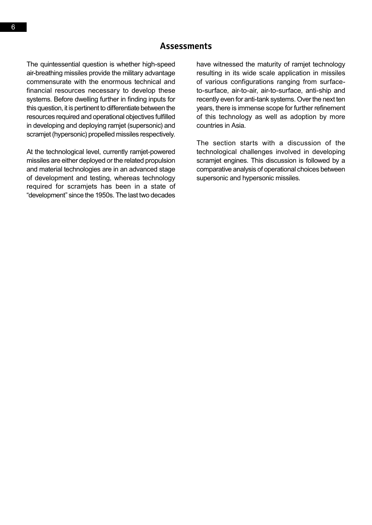The quintessential question is whether high-speed air-breathing missiles provide the military advantage commensurate with the enormous technical and financial resources necessary to develop these systems. Before dwelling further in finding inputs for this question, it is pertinent to differentiate between the resources required and operational objectives fulfilled in developing and deploying ramjet (supersonic) and scramjet (hypersonic) propelled missiles respectively.

At the technological level, currently ramjet-powered missiles are either deployed or the related propulsion and material technologies are in an advanced stage of development and testing, whereas technology required for scramjets has been in a state of "development" since the 1950s. The last two decades

have witnessed the maturity of ramjet technology resulting in its wide scale application in missiles of various configurations ranging from surfaceto-surface, air-to-air, air-to-surface, anti-ship and recently even for anti-tank systems. Over the next ten years, there is immense scope for further refinement of this technology as well as adoption by more countries in Asia.

The section starts with a discussion of the technological challenges involved in developing scramjet engines. This discussion is followed by a comparative analysis of operational choices between supersonic and hypersonic missiles.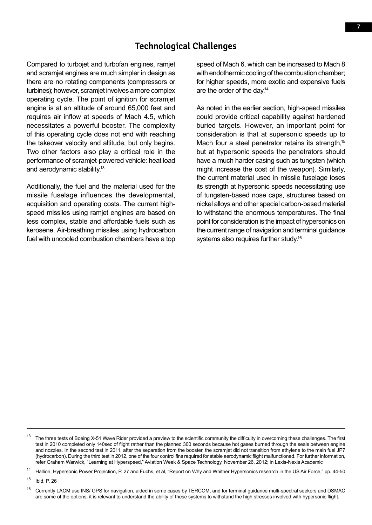#### **Technological Challenges**

Compared to turbojet and turbofan engines, ramjet and scramjet engines are much simpler in design as there are no rotating components (compressors or turbines); however, scramjet involves a more complex operating cycle. The point of ignition for scramjet engine is at an altitude of around 65,000 feet and requires air inflow at speeds of Mach 4.5, which necessitates a powerful booster. The complexity of this operating cycle does not end with reaching the takeover velocity and altitude, but only begins. Two other factors also play a critical role in the performance of scramjet-powered vehicle: heat load and aerodynamic stability.13

Additionally, the fuel and the material used for the missile fuselage influences the developmental, acquisition and operating costs. The current highspeed missiles using ramjet engines are based on less complex, stable and affordable fuels such as kerosene. Air-breathing missiles using hydrocarbon fuel with uncooled combustion chambers have a top

speed of Mach 6, which can be increased to Mach 8 with endothermic cooling of the combustion chamber; for higher speeds, more exotic and expensive fuels are the order of the day.14

As noted in the earlier section, high-speed missiles could provide critical capability against hardened buried targets. However, an important point for consideration is that at supersonic speeds up to Mach four a steel penetrator retains its strength,<sup>15</sup> but at hypersonic speeds the penetrators should have a much harder casing such as tungsten (which might increase the cost of the weapon). Similarly, the current material used in missile fuselage loses its strength at hypersonic speeds necessitating use of tungsten-based nose caps, structures based on nickel alloys and other special carbon-based material to withstand the enormous temperatures. The final point for consideration is the impact of hypersonics on the current range of navigation and terminal guidance systems also requires further study.16

<sup>15</sup> Ibid, P. 26

<sup>&</sup>lt;sup>13</sup> The three tests of Boeing X-51 Wave Rider provided a preview to the scientific community the difficulty in overcoming these challenges. The first test in 2010 completed only 140sec of flight rather than the planned 300 seconds because hot gases burned through the seals between engine and nozzles. In the second test in 2011, after the separation from the booster, the scramjet did not transition from ethylene to the main fuel JP7 (hydrocarbon). During the third test in 2012, one of the four control fins required for stable aerodynamic flight malfunctioned. For further information, refer Graham Warwick, "Learning at Hyperspeed," Aviation Week & Space Technology, November 26, 2012; in Lexis-Nexis Academic

<sup>&</sup>lt;sup>14</sup> Hallion, Hypersonic Power Projection, P. 27 and Fuchs, et al, "Report on Why and Whither Hypersonics research in the US Air Force," pp. 44-50

<sup>&</sup>lt;sup>16</sup> Currently LACM use INS/ GPS for navigation, aided in some cases by TERCOM, and for terminal guidance multi-spectral seekers and DSMAC are some of the options; it is relevant to understand the ability of these systems to withstand the high stresses involved with hypersonic flight.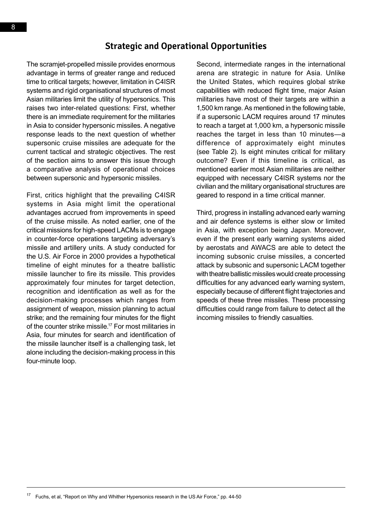#### **Strategic and Operational Opportunities**

The scramjet-propelled missile provides enormous advantage in terms of greater range and reduced time to critical targets; however, limitation in C4ISR systems and rigid organisational structures of most Asian militaries limit the utility of hypersonics. This raises two inter-related questions: First, whether there is an immediate requirement for the militaries in Asia to consider hypersonic missiles. A negative response leads to the next question of whether supersonic cruise missiles are adequate for the current tactical and strategic objectives. The rest of the section aims to answer this issue through a comparative analysis of operational choices between supersonic and hypersonic missiles.

First, critics highlight that the prevailing C4ISR systems in Asia might limit the operational advantages accrued from improvements in speed of the cruise missile. As noted earlier, one of the critical missions for high-speed LACMs is to engage in counter-force operations targeting adversary's missile and artillery units. A study conducted for the U.S. Air Force in 2000 provides a hypothetical timeline of eight minutes for a theatre ballistic missile launcher to fire its missile. This provides approximately four minutes for target detection, recognition and identification as well as for the decision-making processes which ranges from assignment of weapon, mission planning to actual strike; and the remaining four minutes for the flight of the counter strike missile.17 For most militaries in Asia, four minutes for search and identification of the missile launcher itself is a challenging task, let alone including the decision-making process in this four-minute loop.

Second, intermediate ranges in the international arena are strategic in nature for Asia. Unlike the United States, which requires global strike capabilities with reduced flight time, major Asian militaries have most of their targets are within a 1,500 km range. As mentioned in the following table, if a supersonic LACM requires around 17 minutes to reach a target at 1,000 km, a hypersonic missile reaches the target in less than 10 minutes—a difference of approximately eight minutes (see Table 2). Is eight minutes critical for military outcome? Even if this timeline is critical, as mentioned earlier most Asian militaries are neither equipped with necessary C4ISR systems nor the civilian and the military organisational structures are geared to respond in a time critical manner.

Third, progress in installing advanced early warning and air defence systems is either slow or limited in Asia, with exception being Japan. Moreover, even if the present early warning systems aided by aerostats and AWACS are able to detect the incoming subsonic cruise missiles, a concerted attack by subsonic and supersonic LACM together with theatre ballistic missiles would create processing difficulties for any advanced early warning system, especially because of different flight trajectories and speeds of these three missiles. These processing difficulties could range from failure to detect all the incoming missiles to friendly casualties.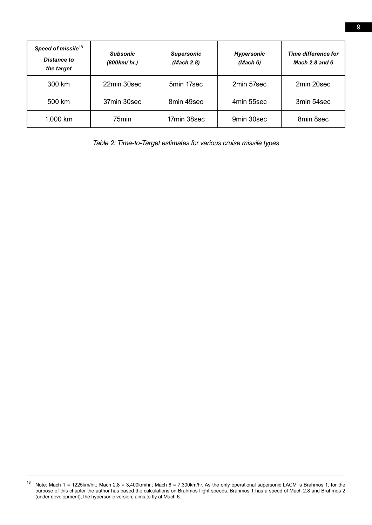| Speed of missile <sup>18</sup><br>Distance to<br>the target | <b>Subsonic</b><br>(800km/hr.) | <b>Supersonic</b><br>(Mach 2.8) | <b>Hypersonic</b><br>(Mach 6) | Time difference for<br>Mach $2.8$ and $6$ |
|-------------------------------------------------------------|--------------------------------|---------------------------------|-------------------------------|-------------------------------------------|
| 300 km                                                      | 22min 30sec                    | 5min 17sec                      | 2min 57sec                    | 2min 20sec                                |
| 500 km                                                      | 37min 30sec                    | 8min 49sec                      | 4min 55sec                    | 3min 54sec                                |
| 1,000 km                                                    | 75 <sub>min</sub>              | 17min 38sec                     | 9min 30sec                    | 8min 8sec                                 |

*Table 2: Time-to-Target estimates for various cruise missile types*

<sup>&</sup>lt;sup>18</sup> Note: Mach 1 = 1225km/hr.; Mach 2.8 = 3,400km/hr.; Mach 6 = 7,300km/hr. As the only operational supersonic LACM is Brahmos 1, for the purpose of this chapter the author has based the calculations on Brahmos flight speeds. Brahmos 1 has a speed of Mach 2.8 and Brahmos 2 (under development), the hypersonic version, aims to fly at Mach 6.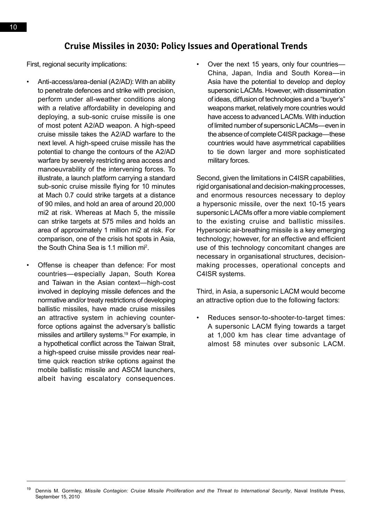#### **Cruise Missiles in 2030: Policy Issues and Operational Trends**

First, regional security implications:

- Anti-access/area-denial (A2/AD): With an ability to penetrate defences and strike with precision, perform under all-weather conditions along with a relative affordability in developing and deploying, a sub-sonic cruise missile is one of most potent A2/AD weapon. A high-speed cruise missile takes the A2/AD warfare to the next level. A high-speed cruise missile has the potential to change the contours of the A2/AD warfare by severely restricting area access and manoeuvrability of the intervening forces. To illustrate, a launch platform carrying a standard sub-sonic cruise missile flying for 10 minutes at Mach 0.7 could strike targets at a distance of 90 miles, and hold an area of around 20,000 mi2 at risk. Whereas at Mach 5, the missile can strike targets at 575 miles and holds an area of approximately 1 million mi2 at risk. For comparison, one of the crisis hot spots in Asia, the South China Sea is 1.1 million mi<sup>2</sup>.
- Offense is cheaper than defence: For most countries—especially Japan, South Korea and Taiwan in the Asian context—high-cost involved in deploying missile defences and the normative and/or treaty restrictions of developing ballistic missiles, have made cruise missiles an attractive system in achieving counterforce options against the adversary's ballistic missiles and artillery systems.19 For example, in a hypothetical conflict across the Taiwan Strait, a high-speed cruise missile provides near realtime quick reaction strike options against the mobile ballistic missile and ASCM launchers, albeit having escalatory consequences.

• Over the next 15 years, only four countries— China, Japan, India and South Korea—in Asia have the potential to develop and deploy supersonic LACMs. However, with dissemination of ideas, diffusion of technologies and a "buyer's" weapons market, relatively more countries would have access to advanced LACMs. With induction of limited number of supersonic LACMs—even in the absence of complete C4ISR package—these countries would have asymmetrical capabilities to tie down larger and more sophisticated military forces.

Second, given the limitations in C4ISR capabilities, rigid organisational and decision-making processes, and enormous resources necessary to deploy a hypersonic missile, over the next 10-15 years supersonic LACMs offer a more viable complement to the existing cruise and ballistic missiles. Hypersonic air-breathing missile is a key emerging technology; however, for an effective and efficient use of this technology concomitant changes are necessary in organisational structures, decisionmaking processes, operational concepts and C4ISR systems.

Third, in Asia, a supersonic LACM would become an attractive option due to the following factors:

• Reduces sensor-to-shooter-to-target times: A supersonic LACM flying towards a target at 1,000 km has clear time advantage of almost 58 minutes over subsonic LACM.

<sup>19</sup> Dennis M. Gormley, *Missile Contagion: Cruise Missile Proliferation and the Threat to International Security*, Naval Institute Press, September 15, 2010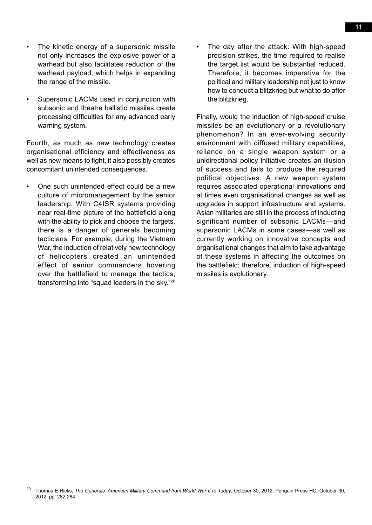- The kinetic energy of a supersonic missile not only increases the explosive power of a warhead but also facilitates reduction of the warhead payload, which helps in expanding the range of the missile.
- Supersonic LACMs used in conjunction with subsonic and theatre ballistic missiles create processing difficulties for any advanced early warning system.

Fourth, as much as new technology creates organisational efficiency and effectiveness as well as new means to fight, it also possibly creates concomitant unintended consequences.

• One such unintended effect could be a new culture of micromanagement by the senior leadership. With C4ISR systems providing near real-time picture of the battlefield along with the ability to pick and choose the targets, there is a danger of generals becoming tacticians. For example, during the Vietnam War, the induction of relatively new technology of helicopters created an unintended effect of senior commanders hovering over the battlefield to manage the tactics, transforming into "squad leaders in the sky."20

The day after the attack: With high-speed precision strikes, the time required to realise the target list would be substantial reduced. Therefore, it becomes imperative for the political and military leadership not just to know how to conduct a blitzkrieg but what to do after the blitzkrieg.

Finally, would the induction of high-speed cruise missiles be an evolutionary or a revolutionary phenomenon? In an ever-evolving security environment with diffused military capabilities, reliance on a single weapon system or a unidirectional policy initiative creates an illusion of success and fails to produce the required political objectives. A new weapon system requires associated operational innovations and at times even organisational changes as well as upgrades in support infrastructure and systems. Asian militaries are still in the process of inducting significant number of subsonic LACMs—and supersonic LACMs in some cases—as well as currently working on innovative concepts and organisational changes that aim to take advantage of these systems in affecting the outcomes on the battlefield; therefore, induction of high-speed missiles is evolutionary.

<sup>20</sup> Thomas E Ricks, *The Generals: American Military Command from World War II to Today*, October 30, 2012, Penguin Press HC, October 30, 2012, pp. 282-284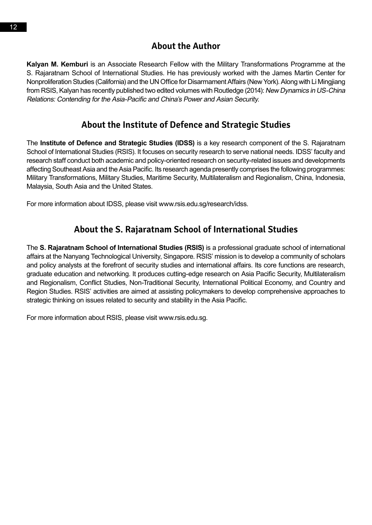### **About the Author**

**Kalyan M. Kemburi** is an Associate Research Fellow with the Military Transformations Programme at the S. Rajaratnam School of International Studies. He has previously worked with the James Martin Center for Nonproliferation Studies (California) and the UN Office for Disarmament Affairs (New York). Along with Li Mingjiang from RSIS, Kalyan has recently published two edited volumes with Routledge (2014): New Dynamics in US-China Relations: Contending for the Asia-Pacific and China's Power and Asian Security.

## **About the Institute of Defence and Strategic Studies**

The **Institute of Defence and Strategic Studies (IDSS)** is a key research component of the S. Rajaratnam School of International Studies (RSIS). It focuses on security research to serve national needs. IDSS' faculty and research staff conduct both academic and policy-oriented research on security-related issues and developments affecting Southeast Asia and the Asia Pacific. Its research agenda presently comprises the following programmes: Military Transformations, Military Studies, Maritime Security, Multilateralism and Regionalism, China, Indonesia, Malaysia, South Asia and the United States.

For more information about IDSS, please visit www.rsis.edu.sg/research/idss.

# **About the S. Rajaratnam School of International Studies**

The **S. Rajaratnam School of International Studies (RSIS)** is a professional graduate school of international affairs at the Nanyang Technological University, Singapore. RSIS' mission is to develop a community of scholars and policy analysts at the forefront of security studies and international affairs. Its core functions are research, graduate education and networking. It produces cutting-edge research on Asia Pacific Security, Multilateralism and Regionalism, Conflict Studies, Non-Traditional Security, International Political Economy, and Country and Region Studies. RSIS' activities are aimed at assisting policymakers to develop comprehensive approaches to strategic thinking on issues related to security and stability in the Asia Pacific.

For more information about RSIS, please visit www.rsis.edu.sg.